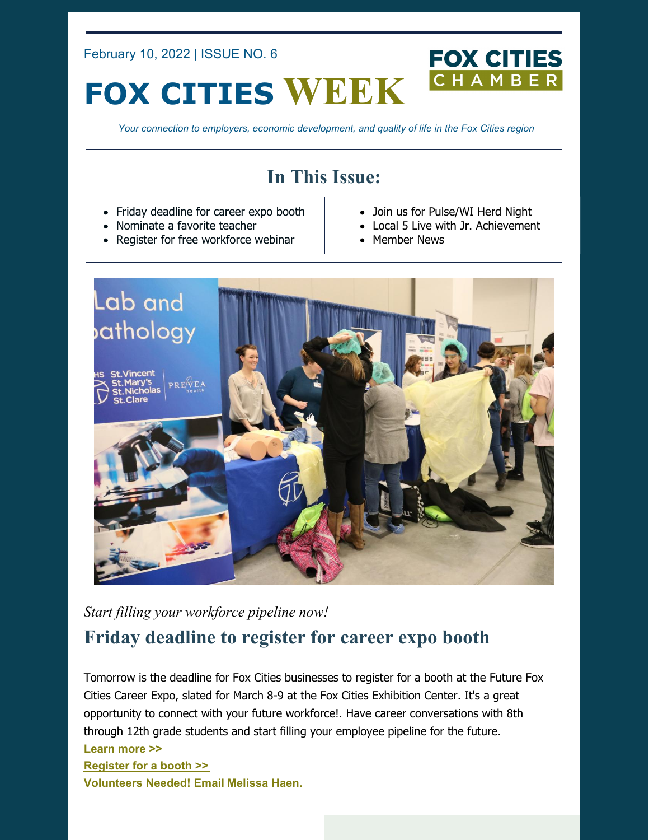February 10, 2022 | ISSUE NO. 6

# **FOX CITIES WEEK**

*Your connection to employers, economic development, and quality of life in the Fox Cities region*

### **In This Issue:**

- Friday deadline for career expo booth
- Nominate a favorite teacher
- Register for free workforce webinar
- Join us for Pulse/WI Herd Night

**FOX CITIES** 

CHAMBE

- Local 5 Live with Jr. Achievement
- Member News



*Start filling your workforce pipeline now!*

### **Friday deadline to register for career expo booth**

Tomorrow is the deadline for Fox Cities businesses to register for a booth at the Future Fox Cities Career Expo, slated for March 8-9 at the Fox Cities Exhibition Center. It's a great opportunity to connect with your future workforce!. Have career conversations with 8th through 12th grade students and start filling your employee pipeline for the future. **[Learn](https://foxcitieschamber.com/talent/future-fox-cities-fox-cities-chamber/) more >> [Register](https://form.jotform.com/212994274213154) for a booth >> Volunteers Needed! Email [Melissa](mailto:mhaen@foxcitieschamber.com) Haen.**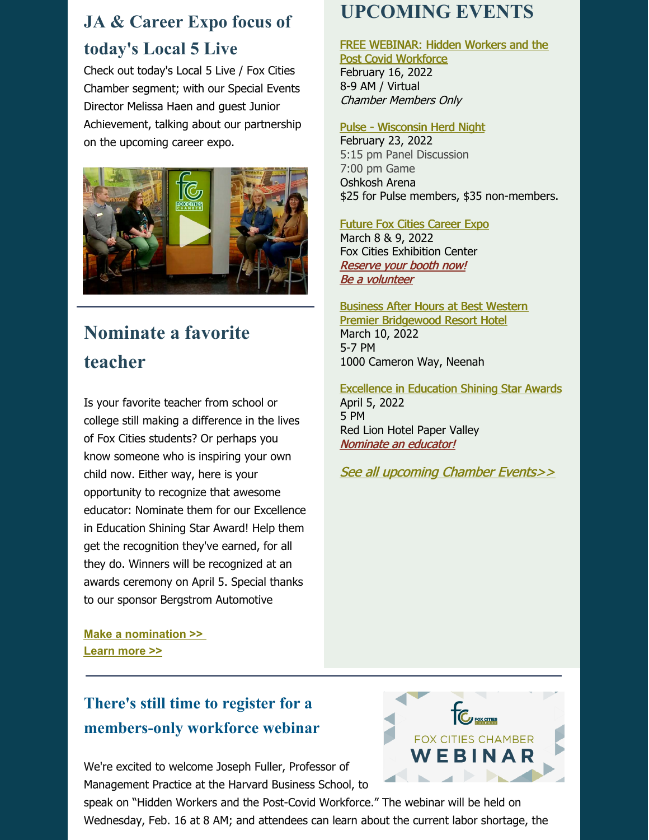# **JA & Career Expo focus of today's Local 5 Live**

Check out today's Local 5 Live / Fox Cities Chamber segment; with our Special Events Director Melissa Haen and guest Junior Achievement, talking about our partnership on the upcoming career expo.



# **Nominate a favorite teacher**

Is your favorite teacher from school or college still making a difference in the lives of Fox Cities students? Or perhaps you know someone who is inspiring your own child now. Either way, here is your opportunity to recognize that awesome educator: Nominate them for our Excellence in Education Shining Star Award! Help them get the recognition they've earned, for all they do. Winners will be recognized at an awards ceremony on April 5. Special thanks to our sponsor Bergstrom [Automotive](https://www.facebook.com/bergstromauto/?__cft__%5b0%5d=AZVs7lfCuz5m8KWqgNi1BYrYGuo59hWCS4GEp1MiRdcZispowG3adOJsJ4KawPHAjU2qKLZAivacrN_SSp9UMQrwVBfcB5TUWcJNZjZL9_sWCgX7JN4o9q3twaz_3ujzgPNjf7Zxto2HEmHihwd-oPmRx8NQQ7ImoQ3qDIBX5lDJGw&__tn__=kK-y-R)

# **UPCOMING EVENTS**

#### FREE [WEBINAR:](https://business.foxcitieschamber.com/events/details/hidden-workers-and-the-post-covid-workforce-17446) Hidden Workers and the

Post Covid Workforce February 16, 2022 8-9 AM / Virtual Chamber Members Only

#### Pulse - [Wisconsin](https://business.foxcitieschamber.com/events/details/pulse-wisconsin-herd-night-17447) Herd Night

February 23, 2022 5:15 pm Panel Discussion 7:00 pm Game Oshkosh Arena \$25 for Pulse members, \$35 non-members.

Future Fox Cities [Career](https://foxcitieschamber.com/talent/future-fox-cities-fox-cities-chamber/) Expo March 8 & 9, 2022 Fox Cities Exhibition Center [Reserve](https://form.jotform.com/212994274213154) your booth now! Be a [volunteer](https://form.jotform.com/212994739819172)

Business After Hours at Best Western Premier [Bridgewood](https://business.foxcitieschamber.com/events/details/2022-business-after-hours-march-17448) Resort Hotel March 10, 2022 5-7 PM 1000 Cameron Way, Neenah

[Excellence](https://foxcitieschamber.com/talent/excellence-in-education-awards-fox-cities-chamber/) in Education Shining Star Awards April 5, 2022 5 PM Red Lion Hotel Paper Valley [Nominate](https://form.jotform.com/213205214034135) an educator!

See all [upcoming](https://business.foxcitieschamber.com/events/catgid/6) Chamber Events>>

**Make a [nomination](https://form.jotform.com/213205214034135) >> [Learn](https://foxcitieschamber.com/talent/excellence-in-education-awards-fox-cities-chamber/) more >>**

### **There's still time to register for a members-only workforce webinar**

We're excited to welcome Joseph Fuller, Professor of Management Practice at the Harvard Business School, to

speak on "Hidden Workers and the Post-Covid Workforce." The webinar will be held on Wednesday, Feb. 16 at 8 AM; and attendees can learn about the current labor shortage, the

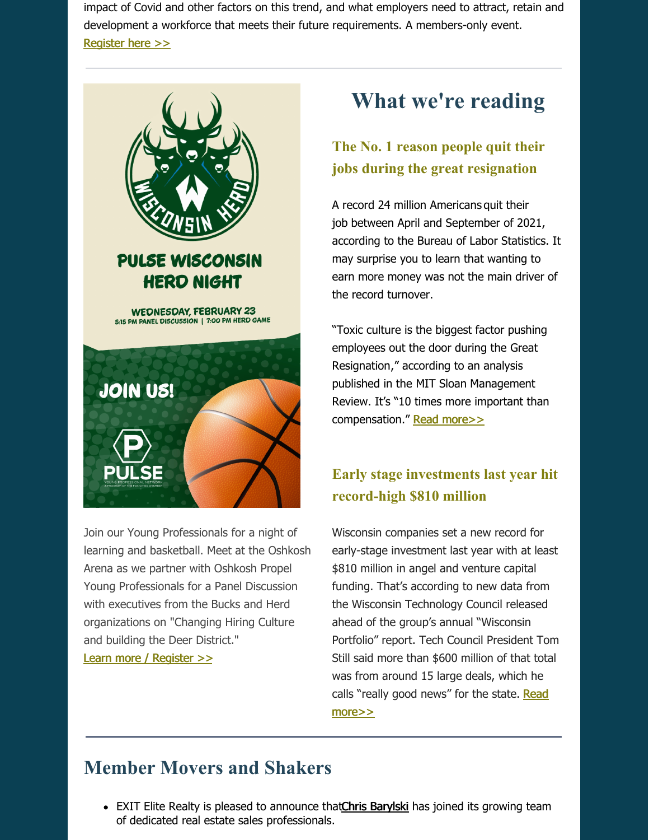impact of Covid and other factors on this trend, and what employers need to attract, retain and development a workforce that meets their future requirements. A members-only event. [Register](https://business.foxcitieschamber.com/events/details/webinar-hidden-workers-and-the-post-covid-workforce-with-joseph-fuller-17446) here >>



Join our Young Professionals for a night of learning and basketball. Meet at the Oshkosh Arena as we partner with Oshkosh Propel Young Professionals for a Panel Discussion with executives from the Bucks and Herd organizations on "Changing Hiring Culture and building the Deer District."

Learn more / [Register](https://business.foxcitieschamber.com/events/details/pulse-wisconsin-herd-night-17447) >>

# **What we're reading**

#### **The No. 1 reason people quit their jobs during the great resignation**

A record 24 million Americans quit their job between April and [September](https://grow.acorns.com/how-quitting-your-job-could-cost-you-money/) of 2021, according to the Bureau of Labor Statistics. It may surprise you to learn that wanting to earn more money was not the main driver of the record turnover.

"Toxic culture is the biggest factor pushing employees out the door during the Great [Resignation,"](https://grow.acorns.com/how-to-approach-the-job-market/) according to an analysis published in the MIT Sloan [Management](https://sloanreview.mit.edu/article/toxic-culture-is-driving-the-great-resignation/) Review. It's "10 times more important than compensation." Read [more>>](https://grow.acorns.com/great-resignation-mit-findings-why-workers-quit/)

### **Early stage investments last year hit record-high \$810 million**

Wisconsin companies set a new record for early-stage investment last year with at least \$810 million in angel and venture capital funding. That's according to new data from the Wisconsin Technology Council released ahead of the group's annual "Wisconsin Portfolio" report. Tech Council President Tom Still said more than \$600 million of that total was from around 15 large deals, which he calls "really good news" for the state. Read [more>>](https://www.wisbusiness.com/2022/early-stage-investment-last-year-hit-record-high-810-million/)

## **Member Movers and Shakers**

• EXIT Elite Realty is pleased to announce that Chris [Barylski](https://foxcitieschamber.com/news/2022/02/09/member-news/chris-barylski-joins-exit-elite-realty-in-appleton/) has joined its growing team of dedicated real estate sales professionals.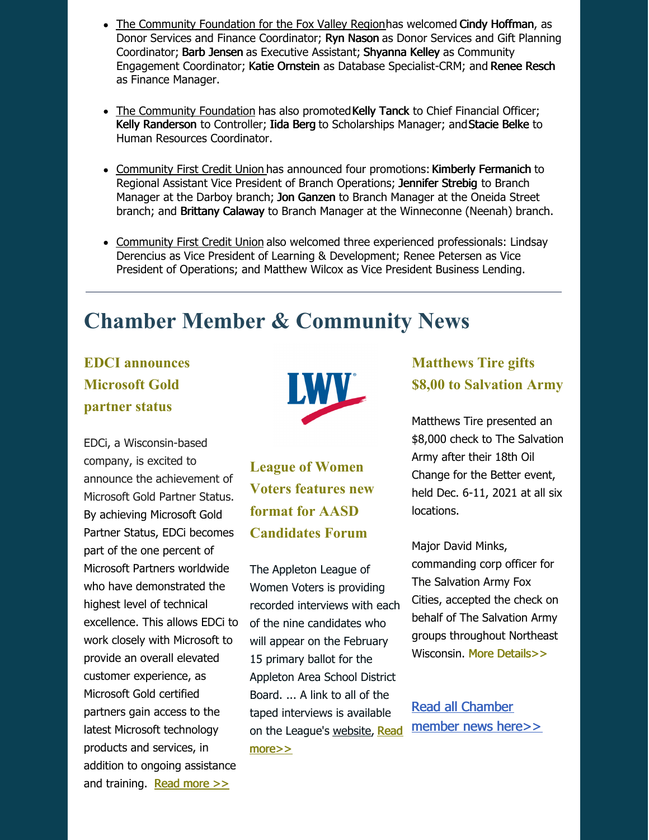- The [Community](https://foxcitieschamber.com/news/2022/02/09/member-news/community-foundation-announces-staff-promotions-hires/) Foundation for the Fox Valley Regionhas welcomed Cindy Hoffman, as Donor Services and Finance Coordinator; Ryn Nason as Donor Services and Gift Planning Coordinator; Barb Jensen as Executive Assistant; Shyanna Kelley as Community Engagement Coordinator; Katie Ornstein as Database Specialist-CRM; and Renee Resch as Finance Manager.
- The [Community](https://foxcitieschamber.com/news/2022/02/09/member-news/community-foundation-announces-staff-promotions-hires/) Foundation has also promoted Kelly Tanck to Chief Financial Officer; Kelly Randerson to Controller; Iida Berg to Scholarships Manager; andStacie Belke to Human Resources Coordinator.
- [Community](https://foxcitieschamber.com/news/2022/02/09/member-news/community-first-announces-four-branch-operations-promotions/) First Credit Union has announced four promotions: Kimberly Fermanich to Regional Assistant Vice President of Branch Operations; Jennifer Strebig to Branch Manager at the Darboy branch; Jon Ganzen to Branch Manager at the Oneida Street branch; and Brittany Calaway to Branch Manager at the Winneconne (Neenah) branch.
- [Community](https://foxcitieschamber.com/news/2022/02/09/member-news/community-first-credit-union-welcomes-three-new-vps/) First Credit Union also welcomed three experienced professionals: Lindsay Derencius as Vice President of Learning & Development; Renee Petersen as Vice President of Operations; and Matthew Wilcox as Vice President Business Lending.

# **Chamber Member & Community News**

### **EDCI announces Microsoft Gold partner status**

EDCi, a Wisconsin-based company, is excited to announce the achievement of Microsoft Gold Partner Status. By achieving Microsoft Gold Partner Status, EDCi becomes part of the one percent of Microsoft Partners worldwide who have demonstrated the highest level of technical excellence. This allows EDCi to work closely with Microsoft to provide an overall elevated customer experience, as Microsoft Gold certified partners gain access to the latest Microsoft technology products and services, in addition to ongoing assistance and training. Read [more](https://foxcitieschamber.com/news/2022/02/09/member-news/edci-announces-microsoft-gold-partner-status/) >>



**League of Women Voters features new format for AASD Candidates Forum**

The Appleton League of Women Voters is providing recorded interviews with each of the nine candidates who will appear on the February 15 primary ballot for the Appleton Area School District Board. ... A link to all of the taped interviews is available on the [League's](https://foxcitieschamber.com/news/2022/02/09/member-news/league-of-women-voters-features-new-format-for-aasd-candidates-forum/) [website](http://www.lwvappleton.org), Read more>>

#### **Matthews Tire gifts \$8,00 to Salvation Army**

Matthews Tire presented an \$8,000 check to The Salvation Army after their 18th Oil Change for the Better event, held Dec. 6-11, 2021 at all six locations.

Major David Minks, commanding corp officer for The Salvation Army Fox Cities, accepted the check on behalf of The Salvation Army groups throughout Northeast Wisconsin. More [Details>>](https://foxcitieschamber.com/news/2022/02/09/member-news/matthews-tire-gifts-8-000-to-the-salvation-army-after-oil-change-for-the-better/)

Read all [Chamber](https://foxcitieschamber.com/news/1/) member news here>>